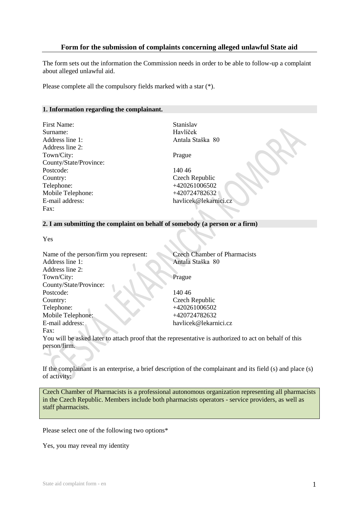### **Form for the submission of complaints concerning alleged unlawful State aid**

The form sets out the information the Commission needs in order to be able to follow-up a complaint about alleged unlawful aid.

Please complete all the compulsory fields marked with a star (\*).

#### **1. Information regarding the complainant.**

| Stanisl |
|---------|
| Havlíč  |
| Antala  |
|         |
| Prague  |
|         |
| 14046   |
| Czech   |
| $+4202$ |
| $+4207$ |
| havlice |
|         |
|         |

Stanislav Havlíček Antala Staška 80

Prague

Czech Republic +420261006502 +420724782632 havlicek@lekarnici.cz

#### **2. I am submitting the complaint on behalf of somebody (a person or a firm)**

Yes

| Name of the person/firm you represent: | <b>Czech Chamber of Pharmacists</b>                                                                    |
|----------------------------------------|--------------------------------------------------------------------------------------------------------|
| Address line 1:                        | Antala Staška 80                                                                                       |
| Address line 2:                        |                                                                                                        |
| Town/City:                             | Prague                                                                                                 |
| County/State/Province:                 |                                                                                                        |
| Postcode:                              | 140.46                                                                                                 |
| Country:                               | Czech Republic                                                                                         |
| Telephone:                             | +420261006502                                                                                          |
| Mobile Telephone:                      | +420724782632                                                                                          |
| E-mail address:                        | havlicek@lekarnici.cz                                                                                  |
| Fax:                                   |                                                                                                        |
|                                        | You will be asked later to attach proof that the representative is authorized to act on behalf of this |
| person/firm.                           |                                                                                                        |
|                                        |                                                                                                        |

If the complainant is an enterprise, a brief description of the complainant and its field (s) and place (s) of activity:

Czech Chamber of Pharmacists is a professional autonomous organization representing all pharmacists in the Czech Republic. Members include both pharmacists operators - service providers, as well as staff pharmacists.

Please select one of the following two options\*

Yes, you may reveal my identity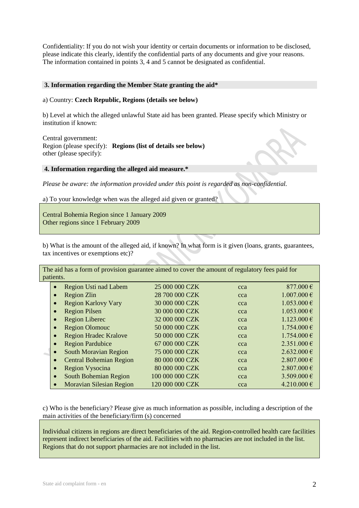Confidentiality: If you do not wish your identity or certain documents or information to be disclosed, please indicate this clearly, identify the confidential parts of any documents and give your reasons. The information contained in points 3, 4 and 5 cannot be designated as confidential.

#### **3. Information regarding the Member State granting the aid\***

#### a) Country: **Czech Republic, Regions (details see below)**

b) Level at which the alleged unlawful State aid has been granted. Please specify which Ministry or institution if known:

Central government:

Region (please specify): **Regions (list of details see below)** other (please specify):

#### **4. Information regarding the alleged aid measure.\***

*Please be aware: the information provided under this point is regarded as non-confidential.* 

a) To your knowledge when was the alleged aid given or granted?

Central Bohemia Region since 1 January 2009 Other regions since 1 February 2009

b) What is the amount of the alleged aid, if known? In what form is it given (loans, grants, guarantees, tax incentives or exemptions etc)?

The aid has a form of provision guarantee aimed to cover the amount of regulatory fees paid for patients.

| <b>Region Usti nad Labem</b><br>$\bullet$    | 25 000 000 CZK  | cca | 877.000€        |
|----------------------------------------------|-----------------|-----|-----------------|
| Region Zlin<br>$\bullet$                     | 28 700 000 CZK  | cca | $1.007.000 \in$ |
| <b>Region Karlovy Vary</b><br>$\bullet$      | 30 000 000 CZK  | cca | $1.053.000 \in$ |
| <b>Region Pilsen</b>                         | 30 000 000 CZK  | cca | $1.053.000 \in$ |
| <b>Region Liberec</b><br>$\bullet$           | 32 000 000 CZK  | cca | $1.123.000 \in$ |
| <b>Region Olomouc</b><br>$\bullet$           | 50 000 000 CZK  | cca | $1.754.000 \in$ |
| <b>Region Hradec Kralove</b><br>$\bullet$    | 50 000 000 CZK  | cca | $1.754.000 \in$ |
| <b>Region Pardubice</b><br>$\bullet$         | 67 000 000 CZK  | cca | $2.351.000 \in$ |
| <b>South Moravian Region</b><br>$\bullet$    | 75 000 000 CZK  | cca | $2.632.000 \in$ |
| <b>Central Bohemian Region</b><br>$\bullet$  | 80 000 000 CZK  | cca | $2.807.000 \in$ |
| <b>Region Vysocina</b><br>$\bullet$          | 80 000 000 CZK  | cca | $2.807.000 \in$ |
| South Bohemian Region<br>$\bullet$           | 100 000 000 CZK | cca | 3.509.000 €     |
| <b>Moravian Silesian Region</b><br>$\bullet$ | 120 000 000 CZK | cca | 4.210.000€      |

c) Who is the beneficiary? Please give as much information as possible, including a description of the main activities of the beneficiary/firm (s) concerned

Individual citizens in regions are direct beneficiaries of the aid. Region-controlled health care facilities represent indirect beneficiaries of the aid. Facilities with no pharmacies are not included in the list. Regions that do not support pharmacies are not included in the list.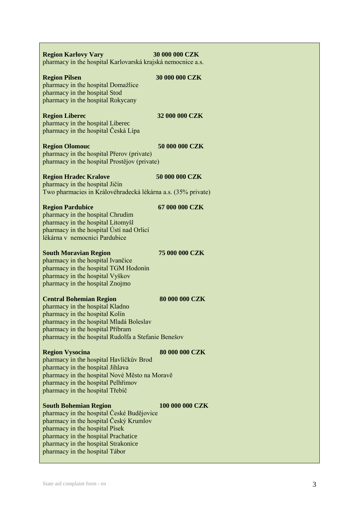| <b>Region Karlovy Vary</b><br>pharmacy in the hospital Karlovarská krajská nemocnice a.s.                                                                                                                                                                             | 30 000 000 CZK  |
|-----------------------------------------------------------------------------------------------------------------------------------------------------------------------------------------------------------------------------------------------------------------------|-----------------|
| <b>Region Pilsen</b><br>pharmacy in the hospital Domažlice<br>pharmacy in the hospital Stod<br>pharmacy in the hospital Rokycany                                                                                                                                      | 30 000 000 CZK  |
| <b>Region Liberec</b><br>pharmacy in the hospital Liberec<br>pharmacy in the hospital Česká Lípa                                                                                                                                                                      | 32 000 000 CZK  |
| <b>Region Olomouc</b><br>pharmacy in the hospital Přerov (private)<br>pharmacy in the hospital Prostějov (private)                                                                                                                                                    | 50 000 000 CZK  |
| <b>Region Hradec Kralove</b>                                                                                                                                                                                                                                          | 50 000 000 CZK  |
| pharmacy in the hospital Jičín<br>Two pharmacies in Královéhradecká lékárna a.s. (35% private)                                                                                                                                                                        |                 |
| <b>Region Pardubice</b><br>pharmacy in the hospital Chrudim<br>pharmacy in the hospital Litomyšl<br>pharmacy in the hospital Ústí nad Orlicí<br>lékárna v nemocnici Pardubice                                                                                         | 67 000 000 CZK  |
| <b>South Moravian Region</b><br>pharmacy in the hospital Ivančice<br>pharmacy in the hospital TGM Hodonín<br>pharmacy in the hospital Vyškov<br>pharmacy in the hospital Znojmo                                                                                       | 75 000 000 CZK  |
| <b>Central Bohemian Region</b><br>pharmacy in the hospital Kladno<br>pharmacy in the hospital Kolín<br>pharmacy in the hospital Mladá Boleslav<br>pharmacy in the hospital Příbram<br>pharmacy in the hospital Rudolfa a Stefanie Benešov                             | 80 000 000 CZK  |
| <b>Region Vysocina</b><br>pharmacy in the hospital Havlíčkův Brod<br>pharmacy in the hospital Jihlava<br>pharmacy in the hospital Nové Město na Moravě<br>pharmacy in the hospital Pelhřimov<br>pharmacy in the hospital Třebíč                                       | 80 000 000 CZK  |
| <b>South Bohemian Region</b><br>pharmacy in the hospital České Budějovice<br>pharmacy in the hospital Český Krumlov<br>pharmacy in the hospital Písek<br>pharmacy in the hospital Prachatice<br>pharmacy in the hospital Strakonice<br>pharmacy in the hospital Tábor | 100 000 000 CZK |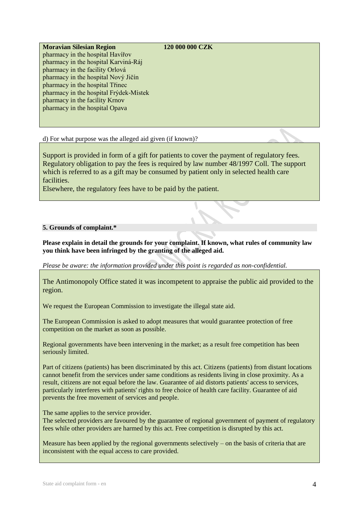## **Moravian Silesian Region 120 000 000 CZK**

pharmacy in the hospital Havířov pharmacy in the hospital Karviná-Ráj pharmacy in the facility Orlová pharmacy in the hospital Nový Jičín pharmacy in the hospital Třinec pharmacy in the hospital Frýdek-Místek pharmacy in the facility Krnov pharmacy in the hospital Opava

d) For what purpose was the alleged aid given (if known)?

Support is provided in form of a gift for patients to cover the payment of regulatory fees. Regulatory obligation to pay the fees is required by law number 48/1997 Coll. The support which is referred to as a gift may be consumed by patient only in selected health care facilities.

Elsewhere, the regulatory fees have to be paid by the patient.

## **5. Grounds of complaint.\***

## **Please explain in detail the grounds for your complaint. If known, what rules of community law you think have been infringed by the granting of the alleged aid.**

*Please be aware: the information provided under this point is regarded as non-confidential.* 

The Antimonopoly Office stated it was incompetent to appraise the public aid provided to the region.

We request the European Commission to investigate the illegal state aid.

The European Commission is asked to adopt measures that would guarantee protection of free competition on the market as soon as possible.

Regional governments have been intervening in the market; as a result free competition has been seriously limited.

Part of citizens (patients) has been discriminated by this act. Citizens (patients) from distant locations cannot benefit from the services under same conditions as residents living in close proximity. As a result, citizens are not equal before the law. Guarantee of aid distorts patients' access to services, particularly interferes with patients' rights to free choice of health care facility. Guarantee of aid prevents the free movement of services and people.

The same applies to the service provider.

The selected providers are favoured by the guarantee of regional government of payment of regulatory fees while other providers are harmed by this act. Free competition is disrupted by this act.

Measure has been applied by the regional governments selectively – on the basis of criteria that are inconsistent with the equal access to care provided.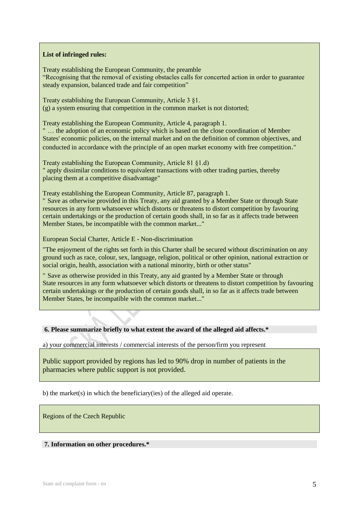### **List of infringed rules:**

Treaty establishing the European Community, the preamble "Recognising that the removal of existing obstacles calls for concerted action in order to guarantee steady expansion, balanced trade and fair competition"

Treaty establishing the European Community, Article 3 §1. (g) a system ensuring that competition in the common market is not distorted;

Treaty establishing the European Community, Article 4, paragraph 1.

" … the adoption of an economic policy which is based on the close coordination of Member States' economic policies, on the internal market and on the definition of common objectives, and conducted in accordance with the principle of an open market economy with free competition."

Treaty establishing the European Community, Article 81 §1.d) " apply dissimilar conditions to equivalent transactions with other trading parties, thereby placing them at a competitive disadvantage"

Treaty establishing the European Community, Article 87, paragraph 1.

" Save as otherwise provided in this Treaty, any aid granted by a Member State or through State resources in any form whatsoever which distorts or threatens to distort competition by favouring certain undertakings or the production of certain goods shall, in so far as it affects trade between Member States, be incompatible with the common market..."

European Social Charter, Article E - Non-discrimination

"The enjoyment of the rights set forth in this Charter shall be secured without discrimination on any ground such as race, colour, sex, language, religion, political or other opinion, national extraction or social origin, health, association with a national minority, birth or other status"

" Save as otherwise provided in this Treaty, any aid granted by a Member State or through State resources in any form whatsoever which distorts or threatens to distort competition by favouring certain undertakings or the production of certain goods shall, in so far as it affects trade between Member States, be incompatible with the common market..."

#### **6. Please summarize briefly to what extent the award of the alleged aid affects.\***

a) your commercial interests / commercial interests of the person/firm you represent

Public support provided by regions has led to 90% drop in number of patients in the pharmacies where public support is not provided.

b) the market(s) in which the beneficiary(ies) of the alleged aid operate.

Regions of the Czech Republic

#### **7. Information on other procedures.\***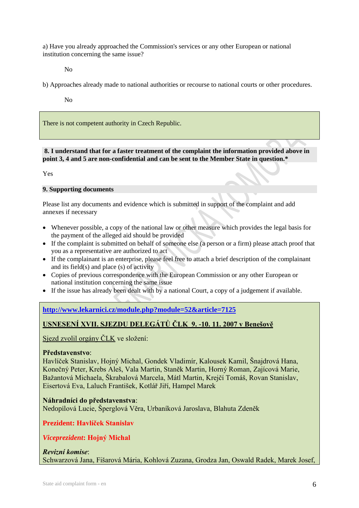a) Have you already approached the Commission's services or any other European or national institution concerning the same issue?

No

b) Approaches already made to national authorities or recourse to national courts or other procedures.

No

There is not competent authority in Czech Republic.

### **8. I understand that for a faster treatment of the complaint the information provided above in point 3, 4 and 5 are non-confidential and can be sent to the Member State in question.\***

Yes

## **9. Supporting documents**

Please list any documents and evidence which is submitted in support of the complaint and add annexes if necessary

- Whenever possible, a copy of the national law or other measure which provides the legal basis for the payment of the alleged aid should be provided
- If the complaint is submitted on behalf of someone else (a person or a firm) please attach proof that you as a representative are authorized to act
- If the complainant is an enterprise, please feel free to attach a brief description of the complainant and its field(s) and place (s) of activity
- Copies of previous correspondence with the European Commission or any other European or national institution concerning the same issue
- If the issue has already been dealt with by a national Court, a copy of a judgement if available.

# **<http://www.lekarnici.cz/module.php?module=52&article=7125>**

# **USNESENÍ XVII. SJEZDU DELEGÁTŮ ČLK 9. -10. 11. 2007 v Benešově**

Sjezd zvolil orgány ČLK ve složení:

## **Představenstvo**:

Havlíček Stanislav, Hojný Michal, Gondek Vladimír, Kalousek Kamil, Šnajdrová Hana, Konečný Peter, Krebs Aleš, Vala Martin, Staněk Martin, Horný Roman, Zajícová Marie, Bažantová Michaela, Škrabalová Marcela, Mátl Martin, Krejčí Tomáš, Rovan Stanislav, Eisertová Eva, Laluch František, Kotlář Jiří, Hampel Marek

## **Náhradníci do představenstva**:

Nedopilová Lucie, Šperglová Věra, Urbaníková Jaroslava, Blahuta Zdeněk

**Prezident: Havlíček Stanislav**

## *Viceprezident***: Hojný Michal**

# *Revizní komise*: Schwarzová Jana, Fišarová Mária, Kohlová Zuzana, Grodza Jan, Oswald Radek, Marek Josef,